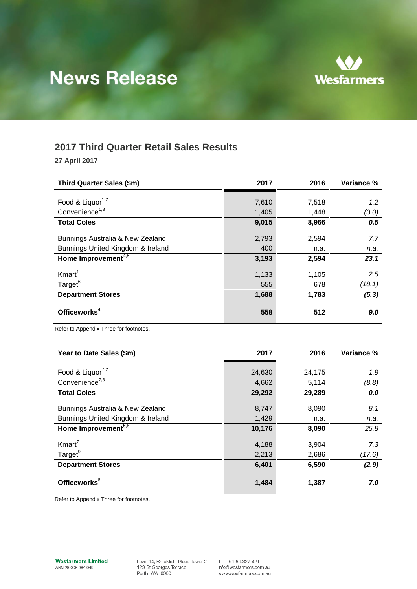# **News Release**



# **2017 Third Quarter Retail Sales Results**

**27 April 2017**

| Third Quarter Sales (\$m)                    | 2017  | 2016  | Variance % |
|----------------------------------------------|-------|-------|------------|
|                                              |       |       |            |
| Food & Liquor <sup>1,2</sup>                 | 7,610 | 7,518 | 1.2        |
| Convenience <sup>1,3</sup>                   | 1,405 | 1,448 | (3.0)      |
| <b>Total Coles</b>                           | 9,015 | 8,966 | 0.5        |
| Bunnings Australia & New Zealand             | 2,793 | 2,594 | 7.7        |
| Bunnings United Kingdom & Ireland            | 400   | n.a.  | n.a.       |
| Home Improvement <sup><math>4,5</math></sup> | 3,193 | 2,594 | 23.1       |
| K <sub>mart</sub> <sup>1</sup>               | 1,133 | 1,105 | 2.5        |
| Target <sup>6</sup>                          | 555   | 678   | (18.1)     |
| <b>Department Stores</b>                     | 1,688 | 1,783 | (5.3)      |
| Officeworks <sup>4</sup>                     | 558   | 512   | 9.0        |

Refer to Appendix Three for footnotes.

| Year to Date Sales (\$m)          | 2017   | 2016   | Variance % |
|-----------------------------------|--------|--------|------------|
|                                   |        |        |            |
| Food & Liquor <sup>7,2</sup>      | 24,630 | 24,175 | 1.9        |
| Convenience <sup>7,3</sup>        | 4,662  | 5,114  | (8.8)      |
| <b>Total Coles</b>                | 29,292 | 29,289 | 0.0        |
|                                   |        |        |            |
| Bunnings Australia & New Zealand  | 8,747  | 8,090  | 8.1        |
| Bunnings United Kingdom & Ireland | 1,429  | n.a.   | n.a.       |
| Home Improvement <sup>5,8</sup>   | 10,176 | 8,090  | 25.8       |
| K <sub>mart</sub> <sup>7</sup>    | 4,188  | 3,904  | 7.3        |
| Target <sup>9</sup>               | 2,213  | 2,686  | (17.6)     |
| <b>Department Stores</b>          | 6,401  | 6,590  | (2.9)      |
| Officeworks <sup>8</sup>          | 1,484  | 1,387  | 7.0        |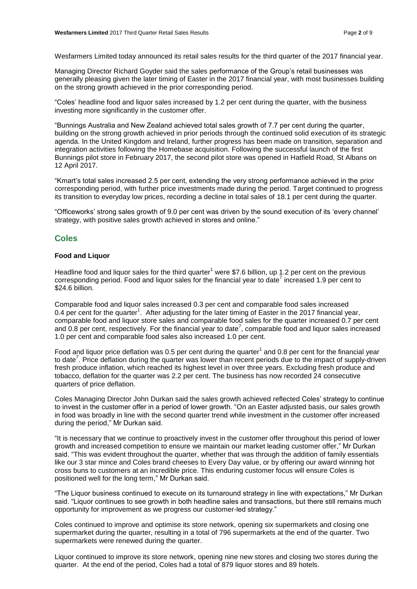Wesfarmers Limited today announced its retail sales results for the third quarter of the 2017 financial year.

Managing Director Richard Goyder said the sales performance of the Group's retail businesses was generally pleasing given the later timing of Easter in the 2017 financial year, with most businesses building on the strong growth achieved in the prior corresponding period.

"Coles' headline food and liquor sales increased by 1.2 per cent during the quarter, with the business investing more significantly in the customer offer.

"Bunnings Australia and New Zealand achieved total sales growth of 7.7 per cent during the quarter, building on the strong growth achieved in prior periods through the continued solid execution of its strategic agenda. In the United Kingdom and Ireland, further progress has been made on transition, separation and integration activities following the Homebase acquisition. Following the successful launch of the first Bunnings pilot store in February 2017, the second pilot store was opened in Hatfield Road, St Albans on 12 April 2017.

"Kmart's total sales increased 2.5 per cent, extending the very strong performance achieved in the prior corresponding period, with further price investments made during the period. Target continued to progress its transition to everyday low prices, recording a decline in total sales of 18.1 per cent during the quarter.

"Officeworks' strong sales growth of 9.0 per cent was driven by the sound execution of its 'every channel' strategy, with positive sales growth achieved in stores and online."

## **Coles**

#### **Food and Liquor**

Headline food and liquor sales for the third quarter<sup>1</sup> were \$7.6 billion, up 1.2 per cent on the previous corresponding period. Food and liquor sales for the financial year to date<sup>7</sup> increased 1.9 per cent to \$24.6 billion.

Comparable food and liquor sales increased 0.3 per cent and comparable food sales increased 0.4 per cent for the quarter<sup>1</sup>. After adjusting for the later timing of Easter in the 2017 financial year, comparable food and liquor store sales and comparable food sales for the quarter increased 0.7 per cent and 0.8 per cent, respectively. For the financial year to date<sup>7</sup>, comparable food and liquor sales increased 1.0 per cent and comparable food sales also increased 1.0 per cent.

Food and liquor price deflation was 0.5 per cent during the quarter<sup>1</sup> and 0.8 per cent for the financial year to date<sup>7</sup>. Price deflation during the quarter was lower than recent periods due to the impact of supply-driven fresh produce inflation, which reached its highest level in over three years. Excluding fresh produce and tobacco, deflation for the quarter was 2.2 per cent. The business has now recorded 24 consecutive quarters of price deflation.

Coles Managing Director John Durkan said the sales growth achieved reflected Coles' strategy to continue to invest in the customer offer in a period of lower growth. "On an Easter adjusted basis, our sales growth in food was broadly in line with the second quarter trend while investment in the customer offer increased during the period," Mr Durkan said.

"It is necessary that we continue to proactively invest in the customer offer throughout this period of lower growth and increased competition to ensure we maintain our market leading customer offer," Mr Durkan said. "This was evident throughout the quarter, whether that was through the addition of family essentials like our 3 star mince and Coles brand cheeses to Every Day value, or by offering our award winning hot cross buns to customers at an incredible price. This enduring customer focus will ensure Coles is positioned well for the long term," Mr Durkan said.

"The Liquor business continued to execute on its turnaround strategy in line with expectations," Mr Durkan said. "Liquor continues to see growth in both headline sales and transactions, but there still remains much opportunity for improvement as we progress our customer-led strategy."

Coles continued to improve and optimise its store network, opening six supermarkets and closing one supermarket during the quarter, resulting in a total of 796 supermarkets at the end of the quarter. Two supermarkets were renewed during the quarter.

Liquor continued to improve its store network, opening nine new stores and closing two stores during the quarter. At the end of the period, Coles had a total of 879 liquor stores and 89 hotels.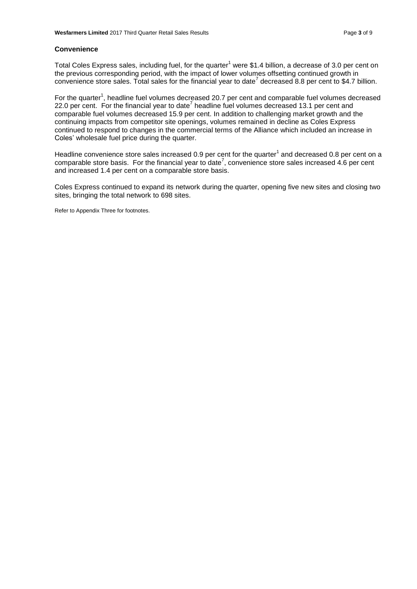#### **Convenience**

Total Coles Express sales, including fuel, for the quarter<sup>1</sup> were \$1.4 billion, a decrease of 3.0 per cent on the previous corresponding period, with the impact of lower volumes offsetting continued growth in convenience store sales. Total sales for the financial year to date<sup>7</sup> decreased 8.8 per cent to \$4.7 billion.

For the quarter<sup>1</sup>, headline fuel volumes decreased 20.7 per cent and comparable fuel volumes decreased 22.0 per cent. For the financial year to date<sup>7</sup> headline fuel volumes decreased 13.1 per cent and comparable fuel volumes decreased 15.9 per cent. In addition to challenging market growth and the continuing impacts from competitor site openings, volumes remained in decline as Coles Express continued to respond to changes in the commercial terms of the Alliance which included an increase in Coles' wholesale fuel price during the quarter.

Headline convenience store sales increased 0.9 per cent for the quarter<sup>1</sup> and decreased 0.8 per cent on a comparable store basis. For the financial year to date<sup>7</sup>, convenience store sales increased 4.6 per cent and increased 1.4 per cent on a comparable store basis.

Coles Express continued to expand its network during the quarter, opening five new sites and closing two sites, bringing the total network to 698 sites.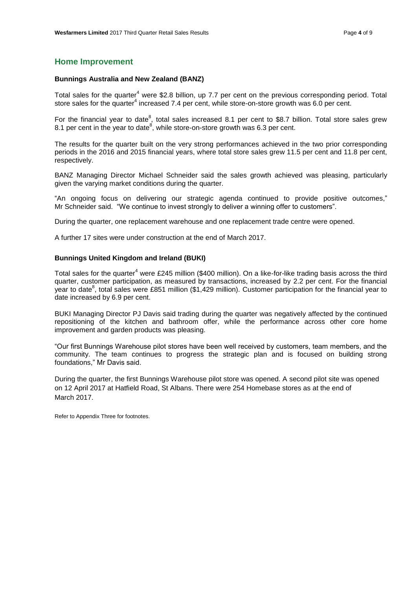## **Home Improvement**

#### **Bunnings Australia and New Zealand (BANZ)**

Total sales for the quarter<sup>4</sup> were \$2.8 billion, up 7.7 per cent on the previous corresponding period. Total store sales for the quarter<sup>4</sup> increased 7.4 per cent, while store-on-store growth was 6.0 per cent.

For the financial year to date<sup>8</sup>, total sales increased 8.1 per cent to \$8.7 billion. Total store sales grew 8.1 per cent in the year to date<sup>8</sup>, while store-on-store growth was 6.3 per cent.

The results for the quarter built on the very strong performances achieved in the two prior corresponding periods in the 2016 and 2015 financial years, where total store sales grew 11.5 per cent and 11.8 per cent, respectively.

BANZ Managing Director Michael Schneider said the sales growth achieved was pleasing, particularly given the varying market conditions during the quarter.

"An ongoing focus on delivering our strategic agenda continued to provide positive outcomes," Mr Schneider said. "We continue to invest strongly to deliver a winning offer to customers".

During the quarter, one replacement warehouse and one replacement trade centre were opened.

A further 17 sites were under construction at the end of March 2017.

#### **Bunnings United Kingdom and Ireland (BUKI)**

Total sales for the quarter<sup>4</sup> were £245 million (\$400 million). On a like-for-like trading basis across the third quarter, customer participation, as measured by transactions, increased by 2.2 per cent. For the financial year to date<sup>8</sup>, total sales were £851 million (\$1,429 million). Customer participation for the financial year to date increased by 6.9 per cent.

BUKI Managing Director PJ Davis said trading during the quarter was negatively affected by the continued repositioning of the kitchen and bathroom offer, while the performance across other core home improvement and garden products was pleasing.

"Our first Bunnings Warehouse pilot stores have been well received by customers, team members, and the community. The team continues to progress the strategic plan and is focused on building strong foundations," Mr Davis said.

During the quarter, the first Bunnings Warehouse pilot store was opened. A second pilot site was opened on 12 April 2017 at Hatfield Road, St Albans. There were 254 Homebase stores as at the end of March 2017.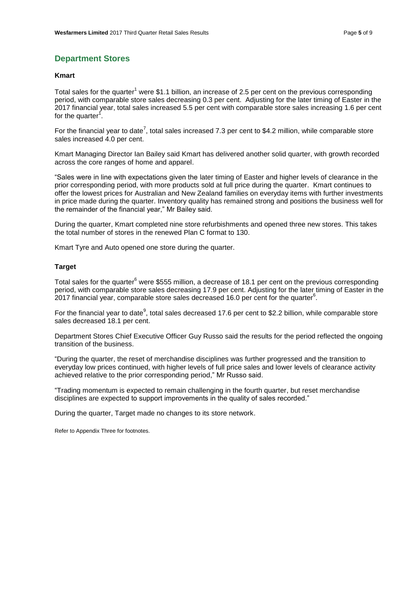## **Department Stores**

#### **Kmart**

Total sales for the quarter<sup>1</sup> were \$1.1 billion, an increase of 2.5 per cent on the previous corresponding period, with comparable store sales decreasing 0.3 per cent. Adjusting for the later timing of Easter in the 2017 financial year, total sales increased 5.5 per cent with comparable store sales increasing 1.6 per cent for the quarter<sup>1</sup>.

For the financial year to date<sup>7</sup>, total sales increased 7.3 per cent to \$4.2 million, while comparable store sales increased 4.0 per cent.

Kmart Managing Director Ian Bailey said Kmart has delivered another solid quarter, with growth recorded across the core ranges of home and apparel.

"Sales were in line with expectations given the later timing of Easter and higher levels of clearance in the prior corresponding period, with more products sold at full price during the quarter. Kmart continues to offer the lowest prices for Australian and New Zealand families on everyday items with further investments in price made during the quarter. Inventory quality has remained strong and positions the business well for the remainder of the financial year," Mr Bailey said.

During the quarter, Kmart completed nine store refurbishments and opened three new stores. This takes the total number of stores in the renewed Plan C format to 130.

Kmart Tyre and Auto opened one store during the quarter.

#### **Target**

Total sales for the quarter<sup>6</sup> were \$555 million, a decrease of 18.1 per cent on the previous corresponding period, with comparable store sales decreasing 17.9 per cent. Adjusting for the later timing of Easter in the  $2017$  financial year, comparable store sales decreased 16.0 per cent for the quarter $^6$ .

For the financial year to date<sup>9</sup>, total sales decreased 17.6 per cent to \$2.2 billion, while comparable store sales decreased 18.1 per cent.

Department Stores Chief Executive Officer Guy Russo said the results for the period reflected the ongoing transition of the business.

"During the quarter, the reset of merchandise disciplines was further progressed and the transition to everyday low prices continued, with higher levels of full price sales and lower levels of clearance activity achieved relative to the prior corresponding period," Mr Russo said.

"Trading momentum is expected to remain challenging in the fourth quarter, but reset merchandise disciplines are expected to support improvements in the quality of sales recorded."

During the quarter, Target made no changes to its store network.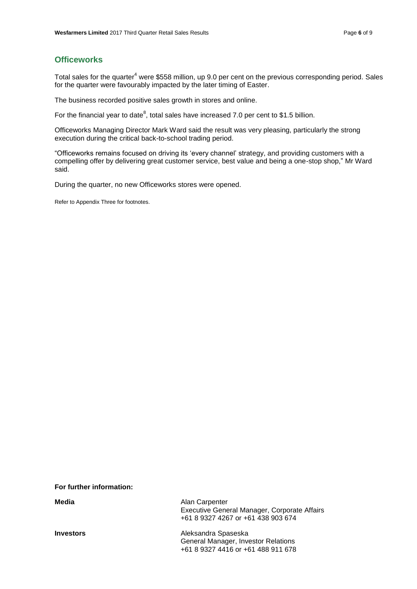# **Officeworks**

Total sales for the quarter<sup>4</sup> were \$558 million, up 9.0 per cent on the previous corresponding period. Sales for the quarter were favourably impacted by the later timing of Easter.

The business recorded positive sales growth in stores and online.

For the financial year to date<sup>8</sup>, total sales have increased 7.0 per cent to \$1.5 billion.

Officeworks Managing Director Mark Ward said the result was very pleasing, particularly the strong execution during the critical back-to-school trading period.

"Officeworks remains focused on driving its 'every channel' strategy, and providing customers with a compelling offer by delivering great customer service, best value and being a one-stop shop," Mr Ward said.

During the quarter, no new Officeworks stores were opened.

Refer to Appendix Three for footnotes.

**For further information:** 

| Media            | Alan Carpenter<br>Executive General Manager, Corporate Affairs<br>+61 8 9327 4267 or +61 438 903 674 |
|------------------|------------------------------------------------------------------------------------------------------|
| <b>Investors</b> | Aleksandra Spaseska<br>General Manager, Investor Relations<br>+61 8 9327 4416 or +61 488 911 678     |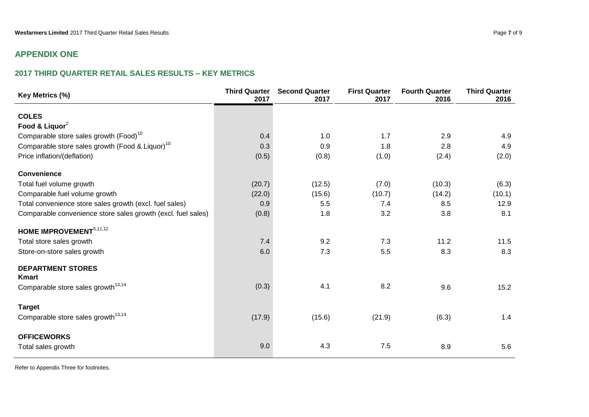# **APPENDIX ONE**

# **2017 THIRD QUARTER RETAIL SALES RESULTS – KEY METRICS**

| Key Metrics (%)                                              | <b>Third Quarter</b><br>2017 | <b>Second Quarter</b><br>2017 | <b>First Quarter</b><br>2017 | <b>Fourth Quarter</b><br>2016 | <b>Third Quarter</b><br>2016 |
|--------------------------------------------------------------|------------------------------|-------------------------------|------------------------------|-------------------------------|------------------------------|
| <b>COLES</b>                                                 |                              |                               |                              |                               |                              |
| Food & Liquor <sup>2</sup>                                   |                              |                               |                              |                               |                              |
| Comparable store sales growth (Food) <sup>10</sup>           | 0.4                          | 1.0                           | 1.7                          | 2.9                           | 4.9                          |
| Comparable store sales growth (Food & Liquor) <sup>10</sup>  | 0.3                          | 0.9                           | 1.8                          | 2.8                           | 4.9                          |
| Price inflation/(deflation)                                  | (0.5)                        | (0.8)                         | (1.0)                        | (2.4)                         | (2.0)                        |
| <b>Convenience</b>                                           |                              |                               |                              |                               |                              |
| Total fuel volume growth                                     | (20.7)                       | (12.5)                        | (7.0)                        | (10.3)                        | (6.3)                        |
| Comparable fuel volume growth                                | (22.0)                       | (15.6)                        | (10.7)                       | (14.2)                        | (10.1)                       |
| Total convenience store sales growth (excl. fuel sales)      | 0.9                          | 5.5                           | 7.4                          | 8.5                           | 12.9                         |
| Comparable convenience store sales growth (excl. fuel sales) | (0.8)                        | 1.8                           | 3.2                          | 3.8                           | 8.1                          |
| HOME IMPROVEMENT <sup>5,11,12</sup>                          |                              |                               |                              |                               |                              |
| Total store sales growth                                     | 7.4                          | 9.2                           | 7.3                          | 11.2                          | 11.5                         |
| Store-on-store sales growth                                  | 6.0                          | 7.3                           | 5.5                          | 8.3                           | 8.3                          |
| <b>DEPARTMENT STORES</b><br><b>Kmart</b>                     |                              |                               |                              |                               |                              |
| Comparable store sales growth <sup>13,14</sup>               | (0.3)                        | 4.1                           | 8.2                          | 9.6                           | 15.2                         |
| <b>Target</b>                                                |                              |                               |                              |                               |                              |
| Comparable store sales growth <sup>13,14</sup>               | (17.9)                       | (15.6)                        | (21.9)                       | (6.3)                         | 1.4                          |
| <b>OFFICEWORKS</b>                                           |                              |                               |                              |                               |                              |
| Total sales growth                                           | 9.0                          | 4.3                           | 7.5                          | 8.9                           | 5.6                          |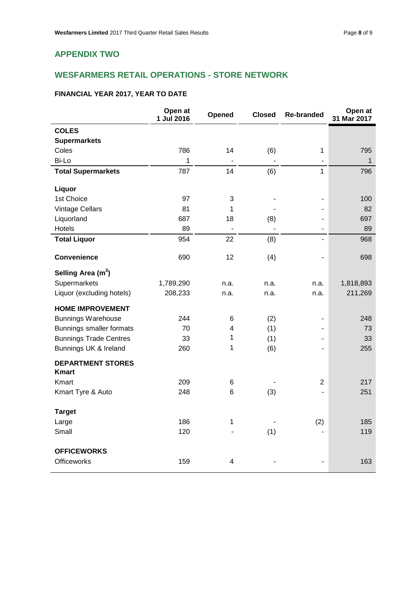# **APPENDIX TWO**

# **WESFARMERS RETAIL OPERATIONS - STORE NETWORK**

## **FINANCIAL YEAR 2017, YEAR TO DATE**

|                                          | Open at<br>1 Jul 2016 | Opened          | <b>Closed</b>  | <b>Re-branded</b>            | Open at<br>31 Mar 2017 |
|------------------------------------------|-----------------------|-----------------|----------------|------------------------------|------------------------|
| <b>COLES</b>                             |                       |                 |                |                              |                        |
| <b>Supermarkets</b>                      |                       |                 |                |                              |                        |
| Coles                                    | 786                   | 14              | (6)            | 1                            | 795                    |
| Bi-Lo                                    | 1                     |                 | $\overline{a}$ | $\overline{\phantom{a}}$     | $\mathbf{1}$           |
| <b>Total Supermarkets</b>                | 787                   | 14              | (6)            | $\mathbf{1}$                 | 796                    |
| Liquor                                   |                       |                 |                |                              |                        |
| 1st Choice                               | 97                    | 3               |                |                              | 100                    |
| <b>Vintage Cellars</b>                   | 81                    | 1               |                |                              | 82                     |
| Liquorland                               | 687                   | 18              | (8)            |                              | 697                    |
| Hotels                                   | 89                    |                 |                |                              | 89                     |
| <b>Total Liquor</b>                      | 954                   | 22              | (8)            | $\qquad \qquad \blacksquare$ | 968                    |
| <b>Convenience</b>                       | 690                   | 12              | (4)            | L,                           | 698                    |
| Selling Area $(m2)$                      |                       |                 |                |                              |                        |
| Supermarkets                             | 1,789,290             | n.a.            | n.a.           | n.a.                         | 1,818,893              |
| Liquor (excluding hotels)                | 208,233               | n.a.            | n.a.           | n.a.                         | 211,269                |
| <b>HOME IMPROVEMENT</b>                  |                       |                 |                |                              |                        |
| <b>Bunnings Warehouse</b>                | 244                   | 6               | (2)            | $\blacksquare$               | 248                    |
| Bunnings smaller formats                 | 70                    | 4               | (1)            |                              | 73                     |
| <b>Bunnings Trade Centres</b>            | 33                    | 1               | (1)            |                              | 33                     |
| Bunnings UK & Ireland                    | 260                   | 1               | (6)            |                              | 255                    |
| <b>DEPARTMENT STORES</b><br><b>Kmart</b> |                       |                 |                |                              |                        |
| Kmart                                    | 209                   | 6               |                | $\overline{2}$               | 217                    |
| Kmart Tyre & Auto                        | 248                   | $6\phantom{1}6$ | (3)            |                              | 251                    |
| <b>Target</b>                            |                       |                 |                |                              |                        |
| Large                                    | 186                   | $\mathbf 1$     |                | (2)                          | 185                    |
| Small                                    | 120                   |                 | (1)            |                              | 119                    |
| <b>OFFICEWORKS</b>                       |                       |                 |                |                              |                        |
| <b>Officeworks</b>                       | 159                   | 4               |                |                              | 163                    |